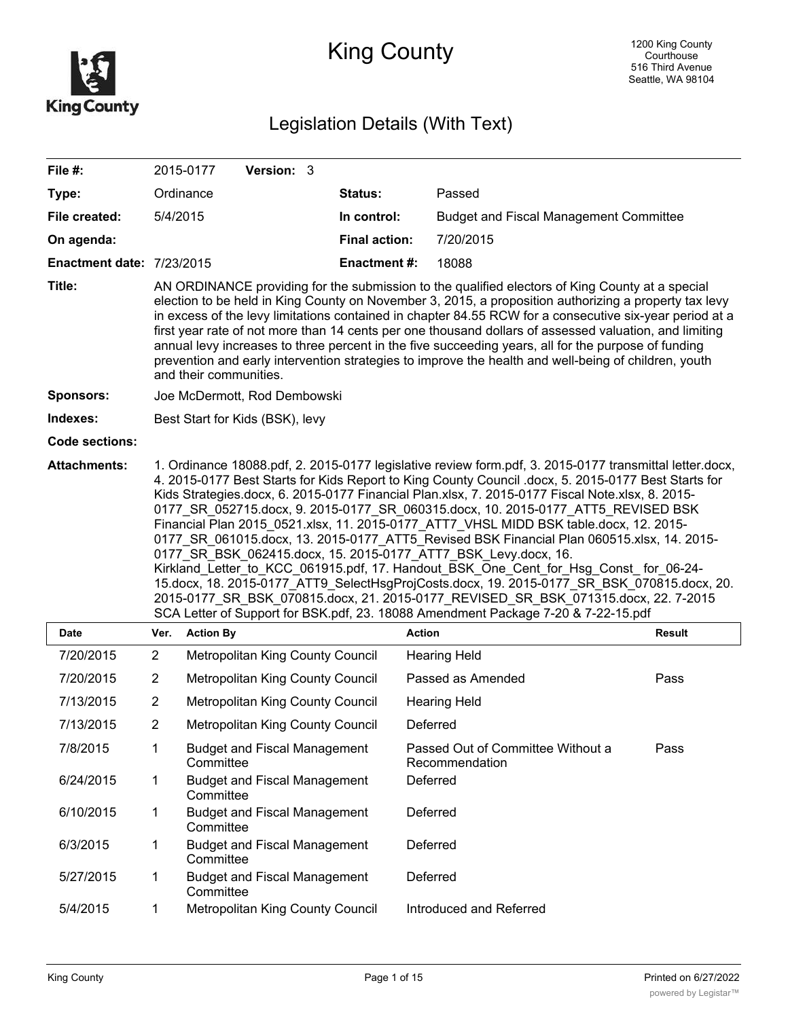

# King County

## Legislation Details (With Text)

| File #:                          |                                                                                                                                                                                                                                                                                                                                                                                                                                                                                                                                                                                                                                                                                                                                                                                                                                                                                                                                                                                                                                | 2015-0177                                                    | Version: 3                       |  |                      |                                                     |               |  |
|----------------------------------|--------------------------------------------------------------------------------------------------------------------------------------------------------------------------------------------------------------------------------------------------------------------------------------------------------------------------------------------------------------------------------------------------------------------------------------------------------------------------------------------------------------------------------------------------------------------------------------------------------------------------------------------------------------------------------------------------------------------------------------------------------------------------------------------------------------------------------------------------------------------------------------------------------------------------------------------------------------------------------------------------------------------------------|--------------------------------------------------------------|----------------------------------|--|----------------------|-----------------------------------------------------|---------------|--|
| Type:                            | Ordinance                                                                                                                                                                                                                                                                                                                                                                                                                                                                                                                                                                                                                                                                                                                                                                                                                                                                                                                                                                                                                      |                                                              |                                  |  | <b>Status:</b>       | Passed                                              |               |  |
| File created:                    | 5/4/2015                                                                                                                                                                                                                                                                                                                                                                                                                                                                                                                                                                                                                                                                                                                                                                                                                                                                                                                                                                                                                       |                                                              |                                  |  | In control:          | <b>Budget and Fiscal Management Committee</b>       |               |  |
| On agenda:                       |                                                                                                                                                                                                                                                                                                                                                                                                                                                                                                                                                                                                                                                                                                                                                                                                                                                                                                                                                                                                                                |                                                              |                                  |  | <b>Final action:</b> | 7/20/2015                                           |               |  |
| <b>Enactment date: 7/23/2015</b> |                                                                                                                                                                                                                                                                                                                                                                                                                                                                                                                                                                                                                                                                                                                                                                                                                                                                                                                                                                                                                                |                                                              |                                  |  | <b>Enactment #:</b>  | 18088                                               |               |  |
| Title:                           | AN ORDINANCE providing for the submission to the qualified electors of King County at a special<br>election to be held in King County on November 3, 2015, a proposition authorizing a property tax levy<br>in excess of the levy limitations contained in chapter 84.55 RCW for a consecutive six-year period at a<br>first year rate of not more than 14 cents per one thousand dollars of assessed valuation, and limiting<br>annual levy increases to three percent in the five succeeding years, all for the purpose of funding<br>prevention and early intervention strategies to improve the health and well-being of children, youth<br>and their communities.                                                                                                                                                                                                                                                                                                                                                         |                                                              |                                  |  |                      |                                                     |               |  |
| <b>Sponsors:</b>                 | Joe McDermott, Rod Dembowski                                                                                                                                                                                                                                                                                                                                                                                                                                                                                                                                                                                                                                                                                                                                                                                                                                                                                                                                                                                                   |                                                              |                                  |  |                      |                                                     |               |  |
| Indexes:                         | Best Start for Kids (BSK), levy                                                                                                                                                                                                                                                                                                                                                                                                                                                                                                                                                                                                                                                                                                                                                                                                                                                                                                                                                                                                |                                                              |                                  |  |                      |                                                     |               |  |
| <b>Code sections:</b>            |                                                                                                                                                                                                                                                                                                                                                                                                                                                                                                                                                                                                                                                                                                                                                                                                                                                                                                                                                                                                                                |                                                              |                                  |  |                      |                                                     |               |  |
| <b>Attachments:</b>              | 1. Ordinance 18088.pdf, 2. 2015-0177 legislative review form.pdf, 3. 2015-0177 transmittal letter.docx,<br>4. 2015-0177 Best Starts for Kids Report to King County Council .docx, 5. 2015-0177 Best Starts for<br>Kids Strategies.docx, 6. 2015-0177 Financial Plan.xlsx, 7. 2015-0177 Fiscal Note.xlsx, 8. 2015-<br>0177 SR 052715.docx, 9. 2015-0177 SR 060315.docx, 10. 2015-0177 ATT5 REVISED BSK<br>Financial Plan 2015 0521.xlsx, 11. 2015-0177 ATT7 VHSL MIDD BSK table.docx, 12. 2015-<br>0177 SR 061015.docx, 13. 2015-0177 ATT5 Revised BSK Financial Plan 060515.xlsx, 14. 2015-<br>0177 SR BSK 062415.docx, 15. 2015-0177 ATT7 BSK Levy.docx, 16.<br>Kirkland_Letter_to_KCC_061915.pdf, 17. Handout_BSK_One_Cent_for_Hsg_Const_for_06-24-<br>15.docx, 18. 2015-0177_ATT9_SelectHsgProjCosts.docx, 19. 2015-0177_SR_BSK_070815.docx, 20.<br>2015-0177 SR BSK_070815.docx, 21. 2015-0177_REVISED_SR_BSK_071315.docx, 22. 7-2015<br>SCA Letter of Support for BSK.pdf, 23. 18088 Amendment Package 7-20 & 7-22-15.pdf |                                                              |                                  |  |                      |                                                     |               |  |
| Date                             | Ver.                                                                                                                                                                                                                                                                                                                                                                                                                                                                                                                                                                                                                                                                                                                                                                                                                                                                                                                                                                                                                           | <b>Action By</b>                                             |                                  |  |                      | <b>Action</b>                                       | <b>Result</b> |  |
| 7/20/2015                        | $\overline{2}$                                                                                                                                                                                                                                                                                                                                                                                                                                                                                                                                                                                                                                                                                                                                                                                                                                                                                                                                                                                                                 |                                                              | Metropolitan King County Council |  |                      | <b>Hearing Held</b>                                 |               |  |
| 7/20/2015                        | $\overline{c}$                                                                                                                                                                                                                                                                                                                                                                                                                                                                                                                                                                                                                                                                                                                                                                                                                                                                                                                                                                                                                 | <b>Metropolitan King County Council</b>                      |                                  |  |                      | Passed as Amended                                   | Pass          |  |
| 7/13/2015                        | $\overline{2}$                                                                                                                                                                                                                                                                                                                                                                                                                                                                                                                                                                                                                                                                                                                                                                                                                                                                                                                                                                                                                 | Metropolitan King County Council                             |                                  |  |                      | <b>Hearing Held</b>                                 |               |  |
| 7/13/2015                        | $\overline{2}$                                                                                                                                                                                                                                                                                                                                                                                                                                                                                                                                                                                                                                                                                                                                                                                                                                                                                                                                                                                                                 | Metropolitan King County Council                             |                                  |  |                      | Deferred                                            |               |  |
| 7/8/2015                         | 1                                                                                                                                                                                                                                                                                                                                                                                                                                                                                                                                                                                                                                                                                                                                                                                                                                                                                                                                                                                                                              | <b>Budget and Fiscal Management</b><br>Committee             |                                  |  |                      | Passed Out of Committee Without a<br>Recommendation | Pass          |  |
| 6/24/2015                        | 1                                                                                                                                                                                                                                                                                                                                                                                                                                                                                                                                                                                                                                                                                                                                                                                                                                                                                                                                                                                                                              | <b>Budget and Fiscal Management</b><br>Committee             |                                  |  |                      | Deferred                                            |               |  |
| 6/10/2015                        | 1                                                                                                                                                                                                                                                                                                                                                                                                                                                                                                                                                                                                                                                                                                                                                                                                                                                                                                                                                                                                                              | <b>Budget and Fiscal Management</b><br>Deferred<br>Committee |                                  |  |                      |                                                     |               |  |
| 6/3/2015                         | 1                                                                                                                                                                                                                                                                                                                                                                                                                                                                                                                                                                                                                                                                                                                                                                                                                                                                                                                                                                                                                              | <b>Budget and Fiscal Management</b><br>Deferred<br>Committee |                                  |  |                      |                                                     |               |  |
| 5/27/2015                        | 1                                                                                                                                                                                                                                                                                                                                                                                                                                                                                                                                                                                                                                                                                                                                                                                                                                                                                                                                                                                                                              | <b>Budget and Fiscal Management</b><br>Deferred<br>Committee |                                  |  |                      |                                                     |               |  |
| 5/4/2015                         | 1                                                                                                                                                                                                                                                                                                                                                                                                                                                                                                                                                                                                                                                                                                                                                                                                                                                                                                                                                                                                                              |                                                              | Metropolitan King County Council |  |                      | Introduced and Referred                             |               |  |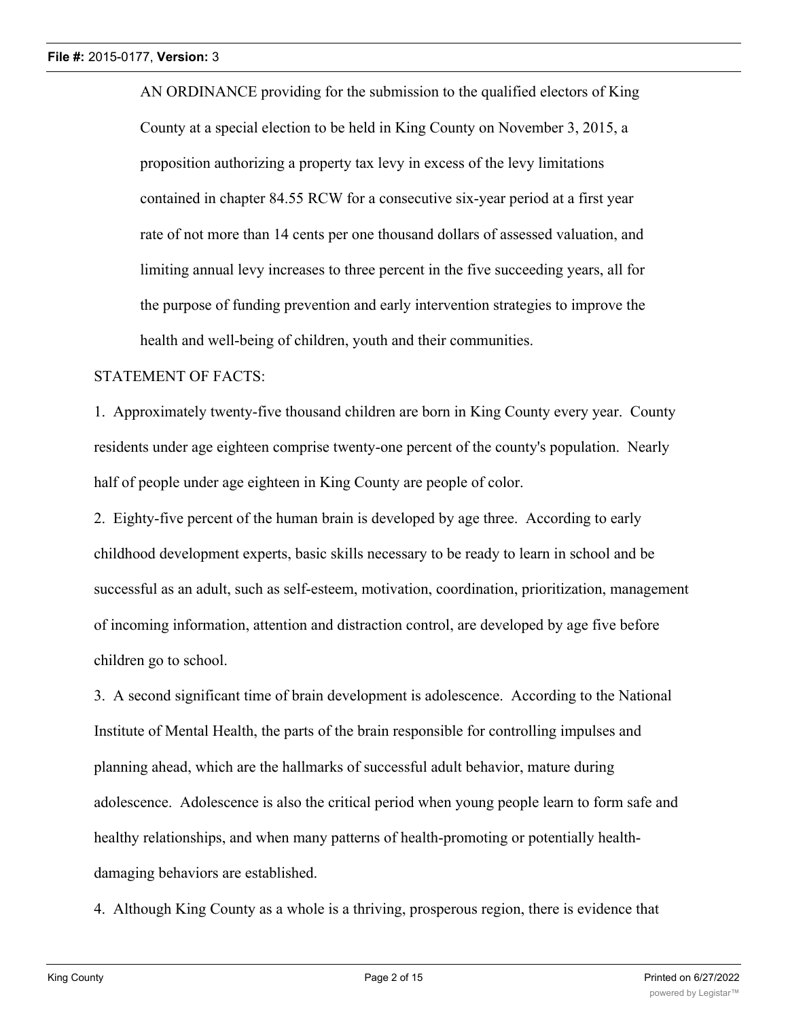AN ORDINANCE providing for the submission to the qualified electors of King County at a special election to be held in King County on November 3, 2015, a proposition authorizing a property tax levy in excess of the levy limitations contained in chapter 84.55 RCW for a consecutive six-year period at a first year rate of not more than 14 cents per one thousand dollars of assessed valuation, and limiting annual levy increases to three percent in the five succeeding years, all for the purpose of funding prevention and early intervention strategies to improve the health and well-being of children, youth and their communities.

#### STATEMENT OF FACTS:

1. Approximately twenty-five thousand children are born in King County every year. County residents under age eighteen comprise twenty-one percent of the county's population. Nearly half of people under age eighteen in King County are people of color.

2. Eighty-five percent of the human brain is developed by age three. According to early childhood development experts, basic skills necessary to be ready to learn in school and be successful as an adult, such as self-esteem, motivation, coordination, prioritization, management of incoming information, attention and distraction control, are developed by age five before children go to school.

3. A second significant time of brain development is adolescence. According to the National Institute of Mental Health, the parts of the brain responsible for controlling impulses and planning ahead, which are the hallmarks of successful adult behavior, mature during adolescence. Adolescence is also the critical period when young people learn to form safe and healthy relationships, and when many patterns of health-promoting or potentially healthdamaging behaviors are established.

4. Although King County as a whole is a thriving, prosperous region, there is evidence that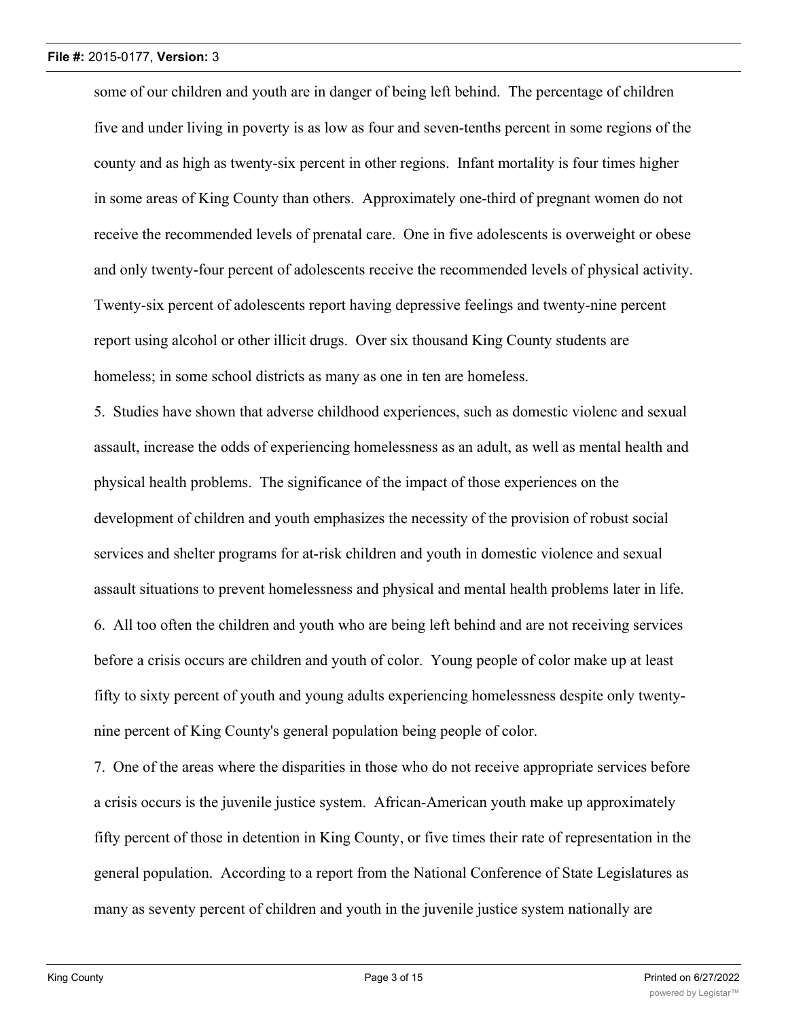some of our children and youth are in danger of being left behind. The percentage of children five and under living in poverty is as low as four and seven-tenths percent in some regions of the county and as high as twenty-six percent in other regions. Infant mortality is four times higher in some areas of King County than others. Approximately one-third of pregnant women do not receive the recommended levels of prenatal care. One in five adolescents is overweight or obese and only twenty-four percent of adolescents receive the recommended levels of physical activity. Twenty-six percent of adolescents report having depressive feelings and twenty-nine percent report using alcohol or other illicit drugs. Over six thousand King County students are homeless; in some school districts as many as one in ten are homeless.

5. Studies have shown that adverse childhood experiences, such as domestic violenc and sexual assault, increase the odds of experiencing homelessness as an adult, as well as mental health and physical health problems. The significance of the impact of those experiences on the development of children and youth emphasizes the necessity of the provision of robust social services and shelter programs for at-risk children and youth in domestic violence and sexual assault situations to prevent homelessness and physical and mental health problems later in life. 6. All too often the children and youth who are being left behind and are not receiving services before a crisis occurs are children and youth of color. Young people of color make up at least fifty to sixty percent of youth and young adults experiencing homelessness despite only twentynine percent of King County's general population being people of color.

7. One of the areas where the disparities in those who do not receive appropriate services before a crisis occurs is the juvenile justice system. African-American youth make up approximately fifty percent of those in detention in King County, or five times their rate of representation in the general population. According to a report from the National Conference of State Legislatures as many as seventy percent of children and youth in the juvenile justice system nationally are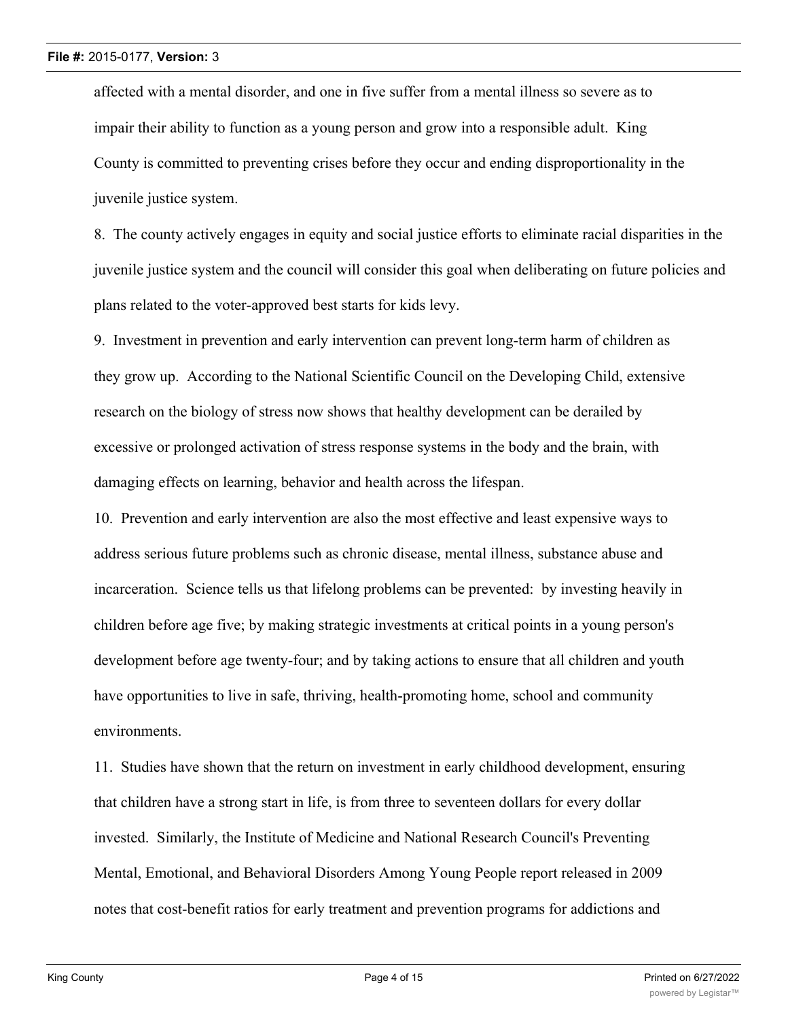affected with a mental disorder, and one in five suffer from a mental illness so severe as to impair their ability to function as a young person and grow into a responsible adult. King County is committed to preventing crises before they occur and ending disproportionality in the juvenile justice system.

8. The county actively engages in equity and social justice efforts to eliminate racial disparities in the juvenile justice system and the council will consider this goal when deliberating on future policies and plans related to the voter-approved best starts for kids levy.

9. Investment in prevention and early intervention can prevent long-term harm of children as they grow up. According to the National Scientific Council on the Developing Child, extensive research on the biology of stress now shows that healthy development can be derailed by excessive or prolonged activation of stress response systems in the body and the brain, with damaging effects on learning, behavior and health across the lifespan.

10. Prevention and early intervention are also the most effective and least expensive ways to address serious future problems such as chronic disease, mental illness, substance abuse and incarceration. Science tells us that lifelong problems can be prevented: by investing heavily in children before age five; by making strategic investments at critical points in a young person's development before age twenty-four; and by taking actions to ensure that all children and youth have opportunities to live in safe, thriving, health-promoting home, school and community environments.

11. Studies have shown that the return on investment in early childhood development, ensuring that children have a strong start in life, is from three to seventeen dollars for every dollar invested. Similarly, the Institute of Medicine and National Research Council's Preventing Mental, Emotional, and Behavioral Disorders Among Young People report released in 2009 notes that cost-benefit ratios for early treatment and prevention programs for addictions and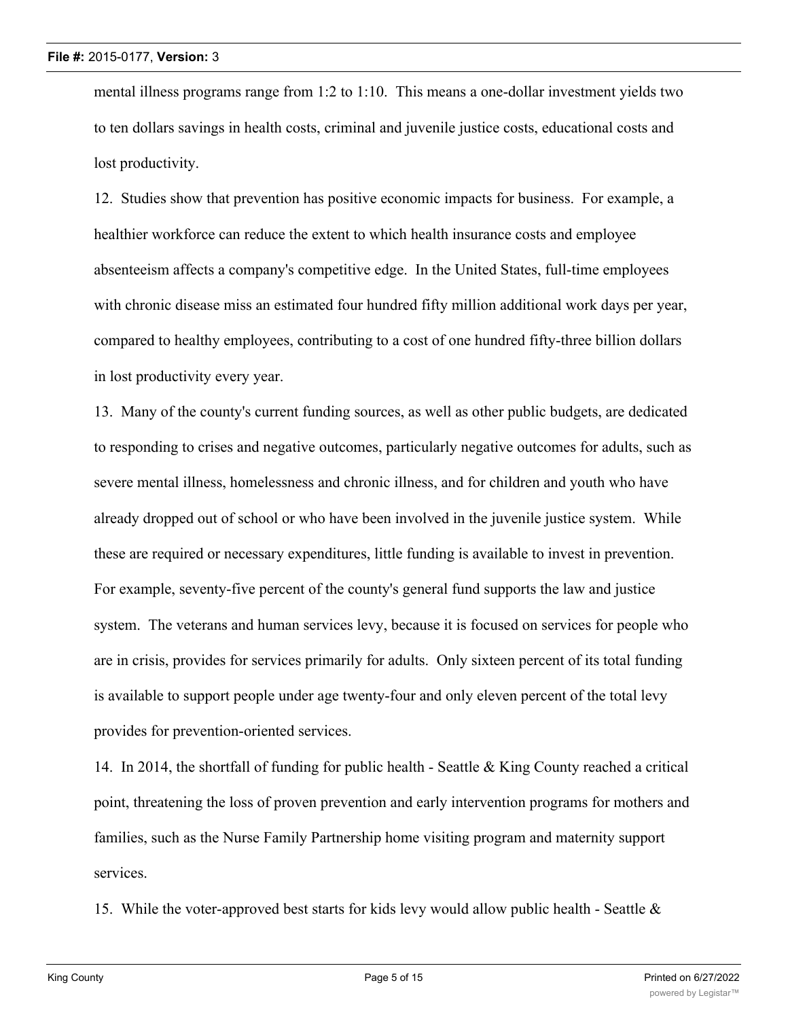mental illness programs range from 1:2 to 1:10. This means a one-dollar investment yields two to ten dollars savings in health costs, criminal and juvenile justice costs, educational costs and lost productivity.

12. Studies show that prevention has positive economic impacts for business. For example, a healthier workforce can reduce the extent to which health insurance costs and employee absenteeism affects a company's competitive edge. In the United States, full-time employees with chronic disease miss an estimated four hundred fifty million additional work days per year, compared to healthy employees, contributing to a cost of one hundred fifty-three billion dollars in lost productivity every year.

13. Many of the county's current funding sources, as well as other public budgets, are dedicated to responding to crises and negative outcomes, particularly negative outcomes for adults, such as severe mental illness, homelessness and chronic illness, and for children and youth who have already dropped out of school or who have been involved in the juvenile justice system. While these are required or necessary expenditures, little funding is available to invest in prevention. For example, seventy-five percent of the county's general fund supports the law and justice system. The veterans and human services levy, because it is focused on services for people who are in crisis, provides for services primarily for adults. Only sixteen percent of its total funding is available to support people under age twenty-four and only eleven percent of the total levy provides for prevention-oriented services.

14. In 2014, the shortfall of funding for public health - Seattle & King County reached a critical point, threatening the loss of proven prevention and early intervention programs for mothers and families, such as the Nurse Family Partnership home visiting program and maternity support services.

15. While the voter-approved best starts for kids levy would allow public health - Seattle  $\&$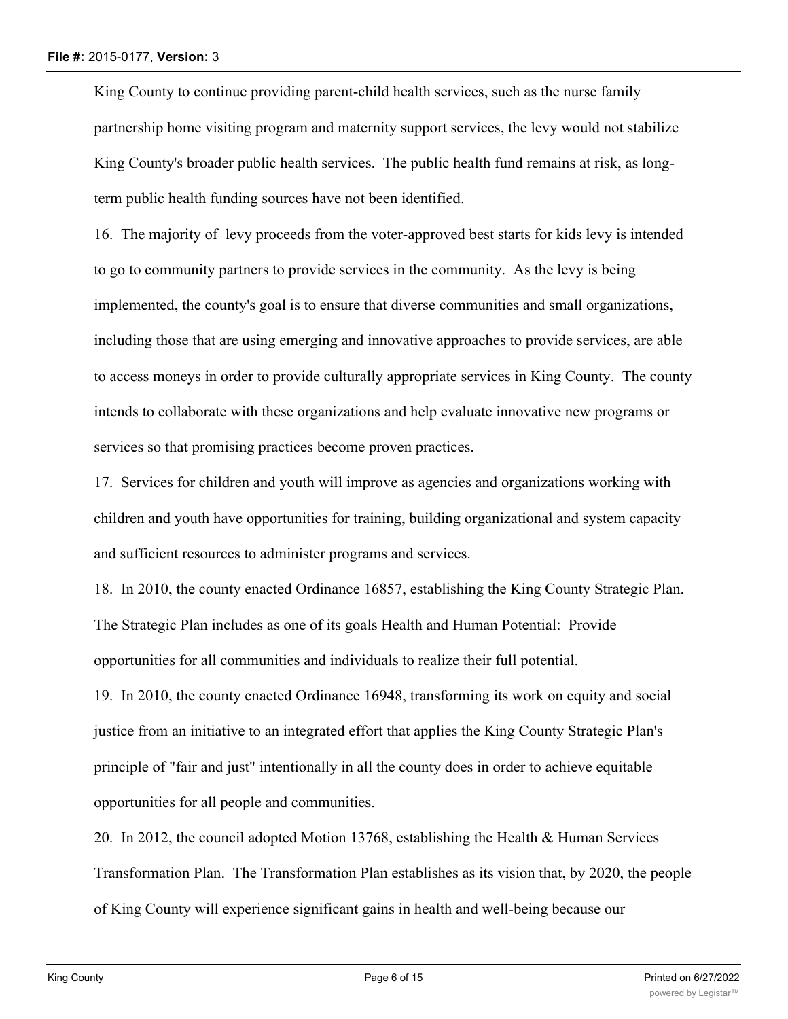King County to continue providing parent-child health services, such as the nurse family partnership home visiting program and maternity support services, the levy would not stabilize King County's broader public health services. The public health fund remains at risk, as longterm public health funding sources have not been identified.

16. The majority of levy proceeds from the voter-approved best starts for kids levy is intended to go to community partners to provide services in the community. As the levy is being implemented, the county's goal is to ensure that diverse communities and small organizations, including those that are using emerging and innovative approaches to provide services, are able to access moneys in order to provide culturally appropriate services in King County. The county intends to collaborate with these organizations and help evaluate innovative new programs or services so that promising practices become proven practices.

17. Services for children and youth will improve as agencies and organizations working with children and youth have opportunities for training, building organizational and system capacity and sufficient resources to administer programs and services.

18. In 2010, the county enacted Ordinance 16857, establishing the King County Strategic Plan. The Strategic Plan includes as one of its goals Health and Human Potential: Provide opportunities for all communities and individuals to realize their full potential.

19. In 2010, the county enacted Ordinance 16948, transforming its work on equity and social justice from an initiative to an integrated effort that applies the King County Strategic Plan's principle of "fair and just" intentionally in all the county does in order to achieve equitable opportunities for all people and communities.

20. In 2012, the council adopted Motion 13768, establishing the Health & Human Services Transformation Plan. The Transformation Plan establishes as its vision that, by 2020, the people of King County will experience significant gains in health and well-being because our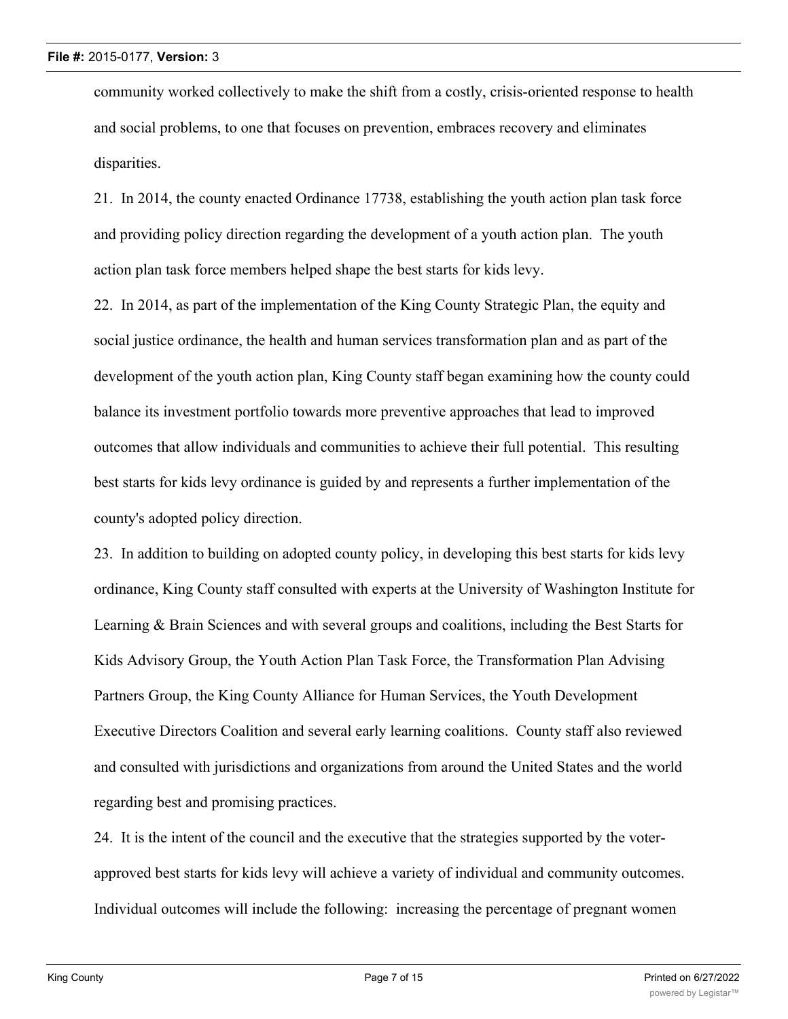community worked collectively to make the shift from a costly, crisis-oriented response to health and social problems, to one that focuses on prevention, embraces recovery and eliminates disparities.

21. In 2014, the county enacted Ordinance 17738, establishing the youth action plan task force and providing policy direction regarding the development of a youth action plan. The youth action plan task force members helped shape the best starts for kids levy.

22. In 2014, as part of the implementation of the King County Strategic Plan, the equity and social justice ordinance, the health and human services transformation plan and as part of the development of the youth action plan, King County staff began examining how the county could balance its investment portfolio towards more preventive approaches that lead to improved outcomes that allow individuals and communities to achieve their full potential. This resulting best starts for kids levy ordinance is guided by and represents a further implementation of the county's adopted policy direction.

23. In addition to building on adopted county policy, in developing this best starts for kids levy ordinance, King County staff consulted with experts at the University of Washington Institute for Learning & Brain Sciences and with several groups and coalitions, including the Best Starts for Kids Advisory Group, the Youth Action Plan Task Force, the Transformation Plan Advising Partners Group, the King County Alliance for Human Services, the Youth Development Executive Directors Coalition and several early learning coalitions. County staff also reviewed and consulted with jurisdictions and organizations from around the United States and the world regarding best and promising practices.

24. It is the intent of the council and the executive that the strategies supported by the voterapproved best starts for kids levy will achieve a variety of individual and community outcomes. Individual outcomes will include the following: increasing the percentage of pregnant women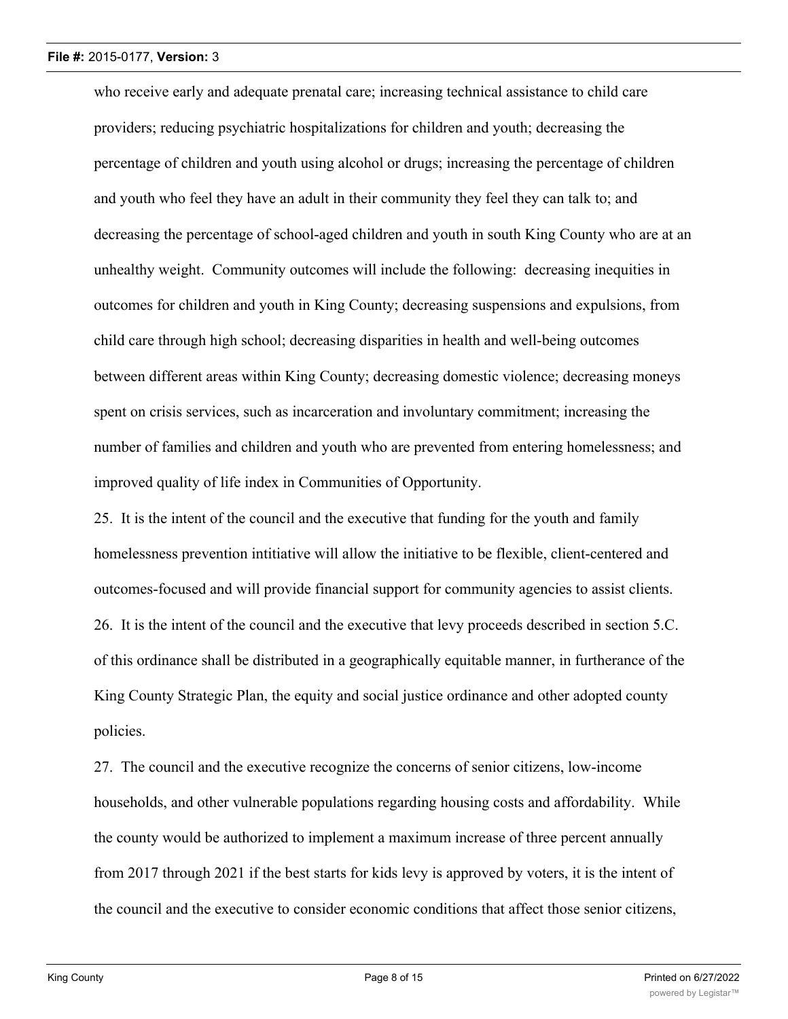who receive early and adequate prenatal care; increasing technical assistance to child care providers; reducing psychiatric hospitalizations for children and youth; decreasing the percentage of children and youth using alcohol or drugs; increasing the percentage of children and youth who feel they have an adult in their community they feel they can talk to; and decreasing the percentage of school-aged children and youth in south King County who are at an unhealthy weight. Community outcomes will include the following: decreasing inequities in outcomes for children and youth in King County; decreasing suspensions and expulsions, from child care through high school; decreasing disparities in health and well-being outcomes between different areas within King County; decreasing domestic violence; decreasing moneys spent on crisis services, such as incarceration and involuntary commitment; increasing the number of families and children and youth who are prevented from entering homelessness; and improved quality of life index in Communities of Opportunity.

25. It is the intent of the council and the executive that funding for the youth and family homelessness prevention intitiative will allow the initiative to be flexible, client-centered and outcomes-focused and will provide financial support for community agencies to assist clients. 26. It is the intent of the council and the executive that levy proceeds described in section 5.C. of this ordinance shall be distributed in a geographically equitable manner, in furtherance of the King County Strategic Plan, the equity and social justice ordinance and other adopted county policies.

27. The council and the executive recognize the concerns of senior citizens, low-income households, and other vulnerable populations regarding housing costs and affordability. While the county would be authorized to implement a maximum increase of three percent annually from 2017 through 2021 if the best starts for kids levy is approved by voters, it is the intent of the council and the executive to consider economic conditions that affect those senior citizens,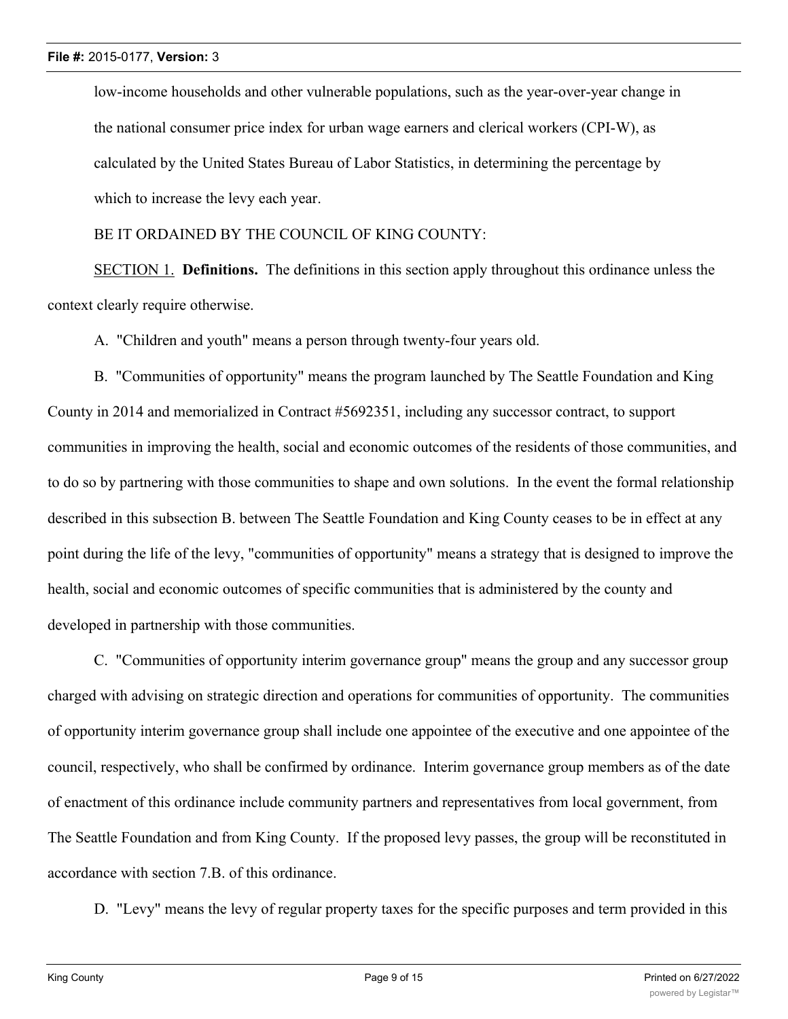low-income households and other vulnerable populations, such as the year-over-year change in the national consumer price index for urban wage earners and clerical workers (CPI-W), as calculated by the United States Bureau of Labor Statistics, in determining the percentage by which to increase the levy each year.

BE IT ORDAINED BY THE COUNCIL OF KING COUNTY:

SECTION 1. **Definitions.** The definitions in this section apply throughout this ordinance unless the context clearly require otherwise.

A. "Children and youth" means a person through twenty-four years old.

B. "Communities of opportunity" means the program launched by The Seattle Foundation and King County in 2014 and memorialized in Contract #5692351, including any successor contract, to support communities in improving the health, social and economic outcomes of the residents of those communities, and to do so by partnering with those communities to shape and own solutions. In the event the formal relationship described in this subsection B. between The Seattle Foundation and King County ceases to be in effect at any point during the life of the levy, "communities of opportunity" means a strategy that is designed to improve the health, social and economic outcomes of specific communities that is administered by the county and developed in partnership with those communities.

C. "Communities of opportunity interim governance group" means the group and any successor group charged with advising on strategic direction and operations for communities of opportunity. The communities of opportunity interim governance group shall include one appointee of the executive and one appointee of the council, respectively, who shall be confirmed by ordinance. Interim governance group members as of the date of enactment of this ordinance include community partners and representatives from local government, from The Seattle Foundation and from King County. If the proposed levy passes, the group will be reconstituted in accordance with section 7.B. of this ordinance.

D. "Levy" means the levy of regular property taxes for the specific purposes and term provided in this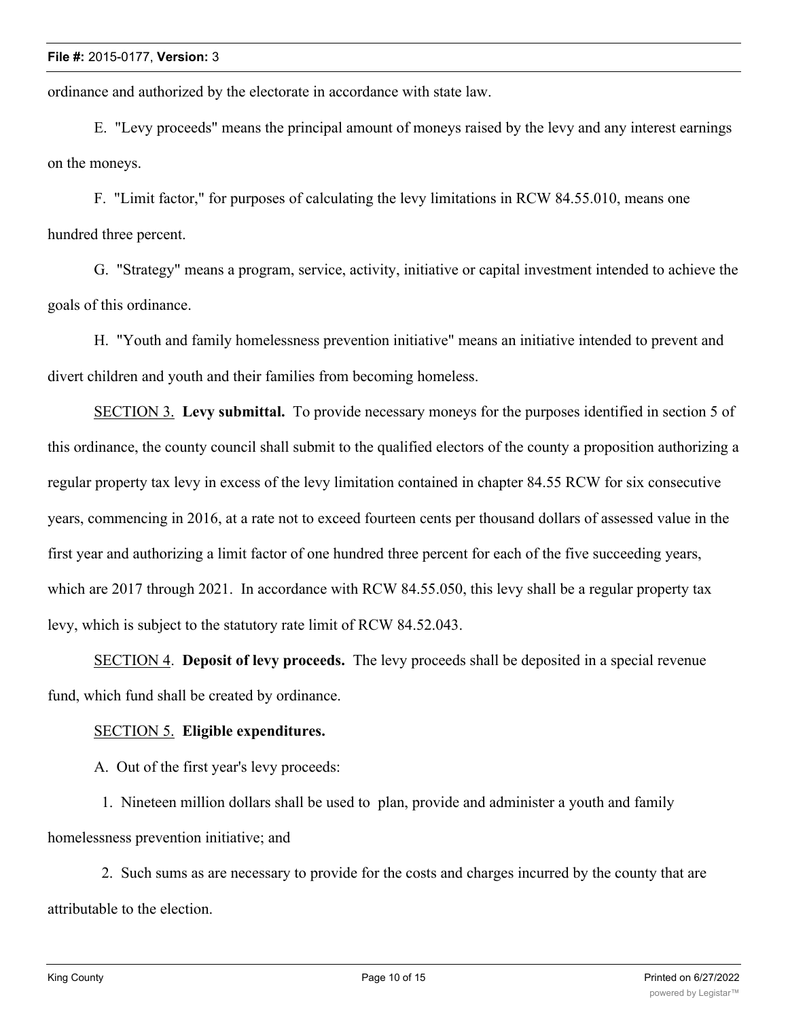ordinance and authorized by the electorate in accordance with state law.

E. "Levy proceeds" means the principal amount of moneys raised by the levy and any interest earnings on the moneys.

F. "Limit factor," for purposes of calculating the levy limitations in RCW 84.55.010, means one hundred three percent.

G. "Strategy" means a program, service, activity, initiative or capital investment intended to achieve the goals of this ordinance.

H. "Youth and family homelessness prevention initiative" means an initiative intended to prevent and divert children and youth and their families from becoming homeless.

SECTION 3. **Levy submittal.** To provide necessary moneys for the purposes identified in section 5 of this ordinance, the county council shall submit to the qualified electors of the county a proposition authorizing a regular property tax levy in excess of the levy limitation contained in chapter 84.55 RCW for six consecutive years, commencing in 2016, at a rate not to exceed fourteen cents per thousand dollars of assessed value in the first year and authorizing a limit factor of one hundred three percent for each of the five succeeding years, which are 2017 through 2021. In accordance with RCW 84.55.050, this levy shall be a regular property tax levy, which is subject to the statutory rate limit of RCW 84.52.043.

SECTION 4. **Deposit of levy proceeds.** The levy proceeds shall be deposited in a special revenue fund, which fund shall be created by ordinance.

#### SECTION 5. **Eligible expenditures.**

A. Out of the first year's levy proceeds:

 1. Nineteen million dollars shall be used to plan, provide and administer a youth and family homelessness prevention initiative; and

 2. Such sums as are necessary to provide for the costs and charges incurred by the county that are attributable to the election.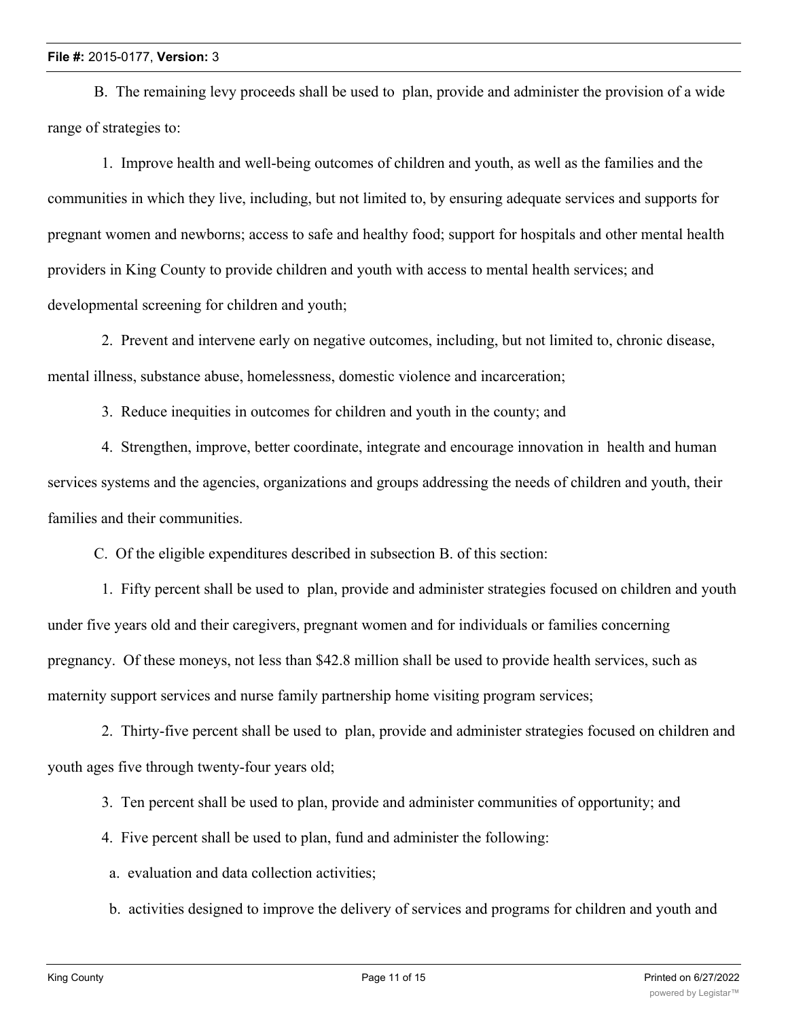B. The remaining levy proceeds shall be used to plan, provide and administer the provision of a wide range of strategies to:

 1. Improve health and well-being outcomes of children and youth, as well as the families and the communities in which they live, including, but not limited to, by ensuring adequate services and supports for pregnant women and newborns; access to safe and healthy food; support for hospitals and other mental health providers in King County to provide children and youth with access to mental health services; and developmental screening for children and youth;

 2. Prevent and intervene early on negative outcomes, including, but not limited to, chronic disease, mental illness, substance abuse, homelessness, domestic violence and incarceration;

3. Reduce inequities in outcomes for children and youth in the county; and

 4. Strengthen, improve, better coordinate, integrate and encourage innovation in health and human services systems and the agencies, organizations and groups addressing the needs of children and youth, their families and their communities.

C. Of the eligible expenditures described in subsection B. of this section:

 1. Fifty percent shall be used to plan, provide and administer strategies focused on children and youth under five years old and their caregivers, pregnant women and for individuals or families concerning pregnancy. Of these moneys, not less than \$42.8 million shall be used to provide health services, such as maternity support services and nurse family partnership home visiting program services;

 2. Thirty-five percent shall be used to plan, provide and administer strategies focused on children and youth ages five through twenty-four years old;

3. Ten percent shall be used to plan, provide and administer communities of opportunity; and

- 4. Five percent shall be used to plan, fund and administer the following:
- a. evaluation and data collection activities;
- b. activities designed to improve the delivery of services and programs for children and youth and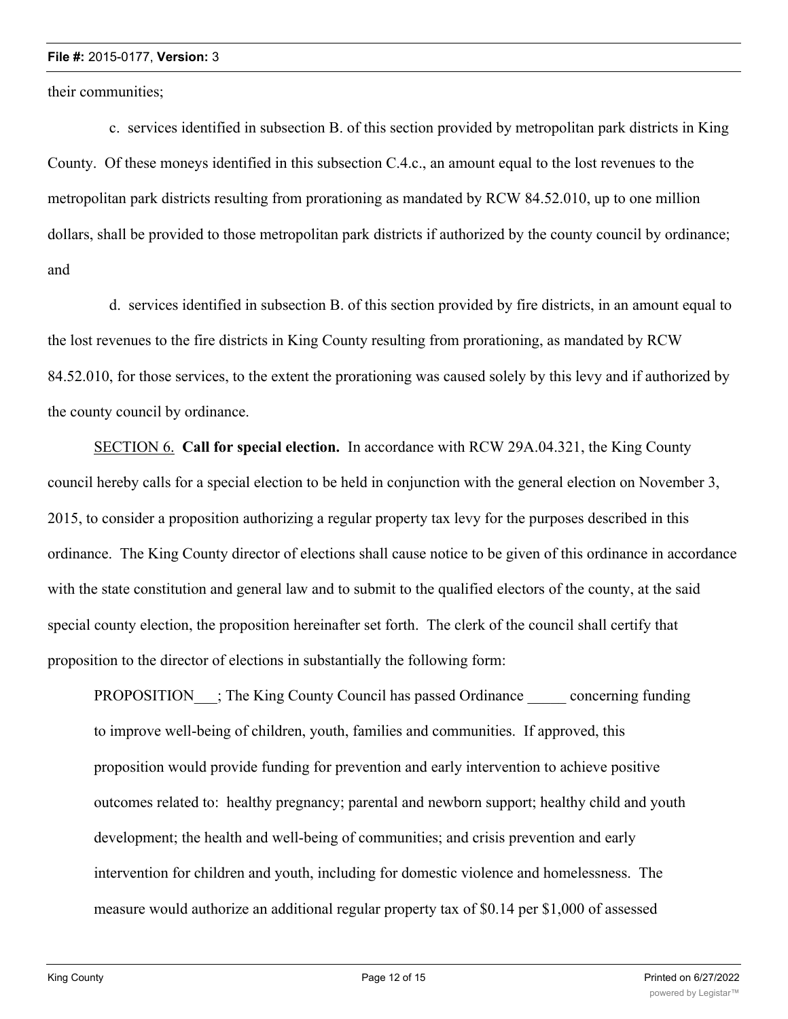their communities;

 c. services identified in subsection B. of this section provided by metropolitan park districts in King County. Of these moneys identified in this subsection C.4.c., an amount equal to the lost revenues to the metropolitan park districts resulting from prorationing as mandated by RCW 84.52.010, up to one million dollars, shall be provided to those metropolitan park districts if authorized by the county council by ordinance; and

 d. services identified in subsection B. of this section provided by fire districts, in an amount equal to the lost revenues to the fire districts in King County resulting from prorationing, as mandated by RCW 84.52.010, for those services, to the extent the prorationing was caused solely by this levy and if authorized by the county council by ordinance.

SECTION 6. **Call for special election.** In accordance with RCW 29A.04.321, the King County council hereby calls for a special election to be held in conjunction with the general election on November 3, 2015, to consider a proposition authorizing a regular property tax levy for the purposes described in this ordinance. The King County director of elections shall cause notice to be given of this ordinance in accordance with the state constitution and general law and to submit to the qualified electors of the county, at the said special county election, the proposition hereinafter set forth. The clerk of the council shall certify that proposition to the director of elections in substantially the following form:

PROPOSITION ; The King County Council has passed Ordinance concerning funding to improve well-being of children, youth, families and communities. If approved, this proposition would provide funding for prevention and early intervention to achieve positive outcomes related to: healthy pregnancy; parental and newborn support; healthy child and youth development; the health and well-being of communities; and crisis prevention and early intervention for children and youth, including for domestic violence and homelessness. The measure would authorize an additional regular property tax of \$0.14 per \$1,000 of assessed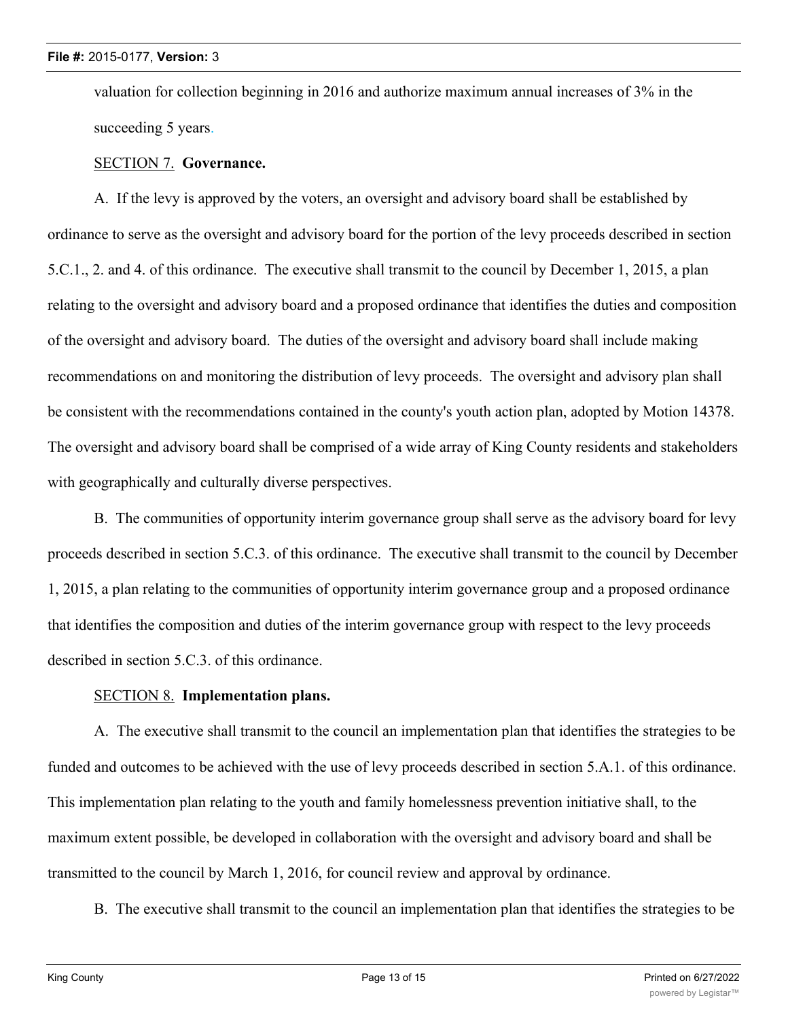valuation for collection beginning in 2016 and authorize maximum annual increases of 3% in the succeeding 5 years.

#### SECTION 7. **Governance.**

A. If the levy is approved by the voters, an oversight and advisory board shall be established by ordinance to serve as the oversight and advisory board for the portion of the levy proceeds described in section 5.C.1., 2. and 4. of this ordinance. The executive shall transmit to the council by December 1, 2015, a plan relating to the oversight and advisory board and a proposed ordinance that identifies the duties and composition of the oversight and advisory board. The duties of the oversight and advisory board shall include making recommendations on and monitoring the distribution of levy proceeds. The oversight and advisory plan shall be consistent with the recommendations contained in the county's youth action plan, adopted by Motion 14378. The oversight and advisory board shall be comprised of a wide array of King County residents and stakeholders with geographically and culturally diverse perspectives.

B. The communities of opportunity interim governance group shall serve as the advisory board for levy proceeds described in section 5.C.3. of this ordinance. The executive shall transmit to the council by December 1, 2015, a plan relating to the communities of opportunity interim governance group and a proposed ordinance that identifies the composition and duties of the interim governance group with respect to the levy proceeds described in section 5.C.3. of this ordinance.

#### SECTION 8. **Implementation plans.**

A. The executive shall transmit to the council an implementation plan that identifies the strategies to be funded and outcomes to be achieved with the use of levy proceeds described in section 5.A.1. of this ordinance. This implementation plan relating to the youth and family homelessness prevention initiative shall, to the maximum extent possible, be developed in collaboration with the oversight and advisory board and shall be transmitted to the council by March 1, 2016, for council review and approval by ordinance.

B. The executive shall transmit to the council an implementation plan that identifies the strategies to be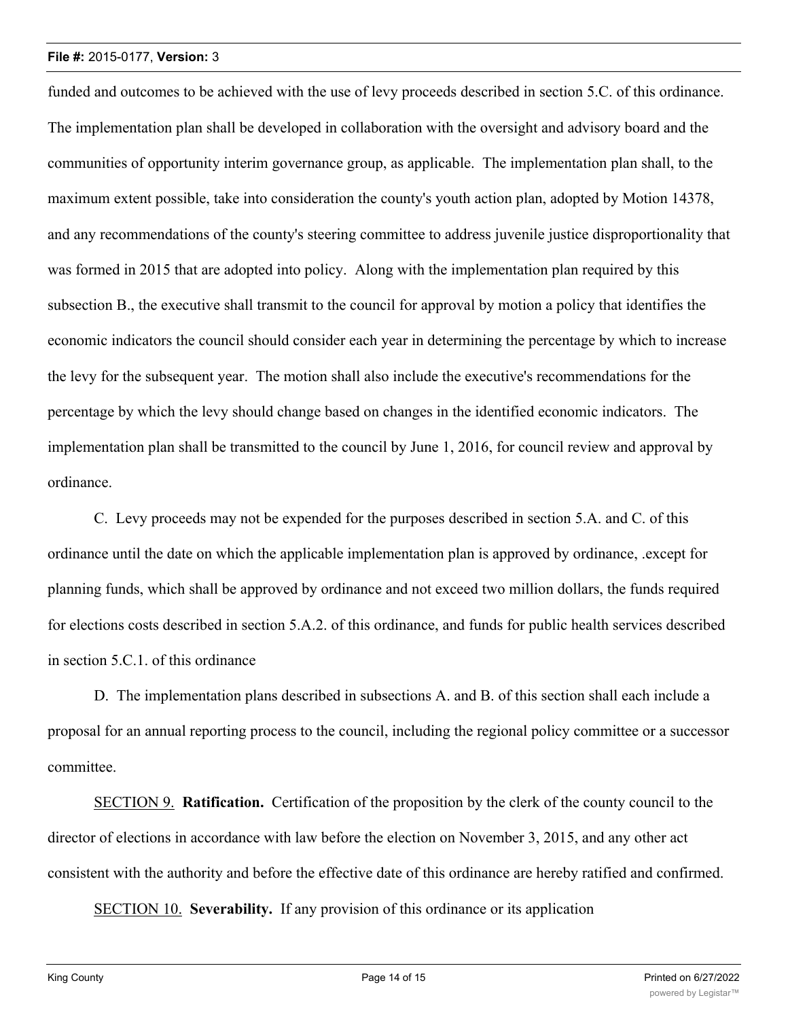funded and outcomes to be achieved with the use of levy proceeds described in section 5.C. of this ordinance. The implementation plan shall be developed in collaboration with the oversight and advisory board and the communities of opportunity interim governance group, as applicable. The implementation plan shall, to the maximum extent possible, take into consideration the county's youth action plan, adopted by Motion 14378, and any recommendations of the county's steering committee to address juvenile justice disproportionality that was formed in 2015 that are adopted into policy. Along with the implementation plan required by this subsection B., the executive shall transmit to the council for approval by motion a policy that identifies the economic indicators the council should consider each year in determining the percentage by which to increase the levy for the subsequent year. The motion shall also include the executive's recommendations for the percentage by which the levy should change based on changes in the identified economic indicators. The implementation plan shall be transmitted to the council by June 1, 2016, for council review and approval by ordinance.

C. Levy proceeds may not be expended for the purposes described in section 5.A. and C. of this ordinance until the date on which the applicable implementation plan is approved by ordinance, .except for planning funds, which shall be approved by ordinance and not exceed two million dollars, the funds required for elections costs described in section 5.A.2. of this ordinance, and funds for public health services described in section 5.C.1. of this ordinance

D. The implementation plans described in subsections A. and B. of this section shall each include a proposal for an annual reporting process to the council, including the regional policy committee or a successor committee.

SECTION 9. **Ratification.** Certification of the proposition by the clerk of the county council to the director of elections in accordance with law before the election on November 3, 2015, and any other act consistent with the authority and before the effective date of this ordinance are hereby ratified and confirmed.

SECTION 10. **Severability.** If any provision of this ordinance or its application